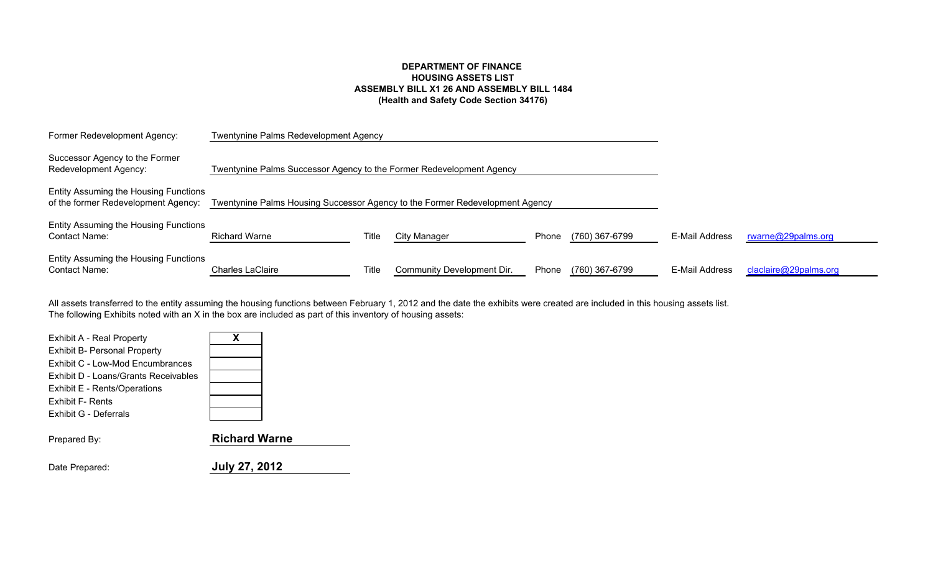# **DEPARTMENT OF FINANCE HOUSING ASSETS LIST ASSEMBLY BILL X1 26 AND ASSEMBLY BILL 1484(Health and Safety Code Section 34176)**

| Former Redevelopment Agency:                                                 | <b>Twentynine Palms Redevelopment Agency</b>                                 |       |                            |       |                |                |                       |
|------------------------------------------------------------------------------|------------------------------------------------------------------------------|-------|----------------------------|-------|----------------|----------------|-----------------------|
| Successor Agency to the Former<br>Redevelopment Agency:                      | Twentynine Palms Successor Agency to the Former Redevelopment Agency         |       |                            |       |                |                |                       |
| Entity Assuming the Housing Functions<br>of the former Redevelopment Agency: | Twentynine Palms Housing Successor Agency to the Former Redevelopment Agency |       |                            |       |                |                |                       |
| Entity Assuming the Housing Functions<br><b>Contact Name:</b>                | <b>Richard Warne</b>                                                         | Title | <b>City Manager</b>        | Phone | (760) 367-6799 | E-Mail Address | rwarne@29palms.org    |
| Entity Assuming the Housing Functions<br><b>Contact Name:</b>                | <b>Charles LaClaire</b>                                                      | Title | Community Development Dir. | Phone | (760) 367-6799 | E-Mail Address | claclaire@29palms.org |

The following Exhibits noted with an X in the box are included as part of this inventory of housing assets: All assets transferred to the entity assuming the housing functions between February 1, 2012 and the date the exhibits were created are included in this housing assets list.

| Exhibit A - Real Property<br><b>Exhibit B- Personal Property</b><br>Exhibit C - Low-Mod Encumbrances<br>Exhibit D - Loans/Grants Receivables | x                    |
|----------------------------------------------------------------------------------------------------------------------------------------------|----------------------|
| Exhibit E - Rents/Operations                                                                                                                 |                      |
| <b>Exhibit F- Rents</b>                                                                                                                      |                      |
| Exhibit G - Deferrals                                                                                                                        |                      |
| Prepared By:                                                                                                                                 | <b>Richard Warne</b> |
| Date Prepared:                                                                                                                               | <b>July 27, 2012</b> |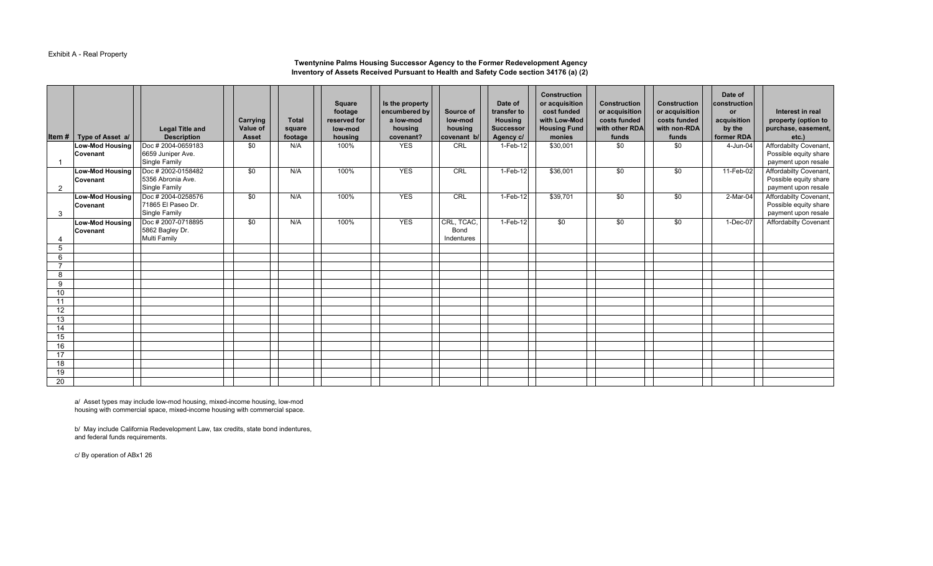## Exhibit A - Real Property

#### **Inventory of Assets Received Pursuant to Health and Safety Code section 34176 (a) (2) Twentynine Palms Housing Successor Agency to the Former Redevelopment Agency**

|                 | Item $#$ Type of Asset a/ | <b>Legal Title and</b><br><b>Description</b> | Carrying<br>Value of<br><b>Asset</b> | <b>Total</b><br>square<br>footage | Square<br>footage<br>reserved for<br>low-mod<br>housing | Is the property<br>encumbered by<br>a low-mod<br>housing<br>covenant? | Source of<br>low-mod<br>housing<br>covenant b/ | Date of<br>transfer to<br><b>Housing</b><br><b>Successor</b><br>Agency c/ | <b>Construction</b><br>or acquisition<br>cost funded<br>with Low-Mod<br><b>Housing Fund</b><br>monies | <b>Construction</b><br>or acquisition<br>costs funded<br>with other RDA<br>funds | <b>Construction</b><br>or acquisition<br>costs funded<br>with non-RDA<br>funds | Date of<br>construction<br><b>or</b><br>acquisition<br>by the<br>former RDA | Interest in real<br>property (option to<br>purchase, easement,<br>etc.) |
|-----------------|---------------------------|----------------------------------------------|--------------------------------------|-----------------------------------|---------------------------------------------------------|-----------------------------------------------------------------------|------------------------------------------------|---------------------------------------------------------------------------|-------------------------------------------------------------------------------------------------------|----------------------------------------------------------------------------------|--------------------------------------------------------------------------------|-----------------------------------------------------------------------------|-------------------------------------------------------------------------|
|                 | <b>Low-Mod Housing</b>    | Doc #2004-0659183                            | \$0                                  | N/A                               | 100%                                                    | <b>YES</b>                                                            | CRL                                            | 1-Feb-12                                                                  | \$30,001                                                                                              | $\overline{30}$                                                                  | \$0                                                                            | 4-Jun-04                                                                    | Affordabilty Covenant,                                                  |
| $\overline{1}$  | Covenant                  | 6659 Juniper Ave.<br>Single Family           |                                      |                                   |                                                         |                                                                       |                                                |                                                                           |                                                                                                       |                                                                                  |                                                                                |                                                                             | Possible equity share<br>payment upon resale                            |
|                 | <b>Low-Mod Housing</b>    | Doc #2002-0158482                            | \$0                                  | N/A                               | 100%                                                    | <b>YES</b>                                                            | CRL                                            | 1-Feb-12                                                                  | \$36,001                                                                                              | $\frac{1}{20}$                                                                   | \$0                                                                            | 11-Feb-02                                                                   | Affordabilty Covenant,                                                  |
| 2               | Covenant                  | 5356 Abronia Ave.<br><b>Single Family</b>    |                                      |                                   |                                                         |                                                                       |                                                |                                                                           |                                                                                                       |                                                                                  |                                                                                |                                                                             | Possible equity share<br>payment upon resale                            |
|                 | <b>Low-Mod Housing</b>    | Doc #2004-0258576                            | \$0                                  | N/A                               | 100%                                                    | <b>YES</b>                                                            | CRL                                            | 1-Feb-12                                                                  | \$39,701                                                                                              | $\frac{1}{20}$                                                                   | \$0                                                                            | $2-Mar-04$                                                                  | Affordabilty Covenant,                                                  |
| 3               | Covenant                  | 71865 El Paseo Dr.<br><b>Single Family</b>   |                                      |                                   |                                                         |                                                                       |                                                |                                                                           |                                                                                                       |                                                                                  |                                                                                |                                                                             | Possible equity share<br>payment upon resale                            |
|                 | <b>Low-Mod Housing</b>    | Doc # 2007-0718895                           | \$0                                  | N/A                               | 100%                                                    | <b>YES</b>                                                            | CRL, TCAC,                                     | 1-Feb-12                                                                  | \$0                                                                                                   | \$0                                                                              | \$0                                                                            | 1-Dec-07                                                                    | <b>Affordabilty Covenant</b>                                            |
|                 | Covenant                  | 5862 Bagley Dr.                              |                                      |                                   |                                                         |                                                                       | Bond                                           |                                                                           |                                                                                                       |                                                                                  |                                                                                |                                                                             |                                                                         |
|                 |                           | <b>Multi Family</b>                          |                                      |                                   |                                                         |                                                                       | Indentures                                     |                                                                           |                                                                                                       |                                                                                  |                                                                                |                                                                             |                                                                         |
| 5<br>6          |                           |                                              |                                      |                                   |                                                         |                                                                       |                                                |                                                                           |                                                                                                       |                                                                                  |                                                                                |                                                                             |                                                                         |
|                 |                           |                                              |                                      |                                   |                                                         |                                                                       |                                                |                                                                           |                                                                                                       |                                                                                  |                                                                                |                                                                             |                                                                         |
| 8               |                           |                                              |                                      |                                   |                                                         |                                                                       |                                                |                                                                           |                                                                                                       |                                                                                  |                                                                                |                                                                             |                                                                         |
| 9               |                           |                                              |                                      |                                   |                                                         |                                                                       |                                                |                                                                           |                                                                                                       |                                                                                  |                                                                                |                                                                             |                                                                         |
| 10 <sup>°</sup> |                           |                                              |                                      |                                   |                                                         |                                                                       |                                                |                                                                           |                                                                                                       |                                                                                  |                                                                                |                                                                             |                                                                         |
| 11              |                           |                                              |                                      |                                   |                                                         |                                                                       |                                                |                                                                           |                                                                                                       |                                                                                  |                                                                                |                                                                             |                                                                         |
| 12              |                           |                                              |                                      |                                   |                                                         |                                                                       |                                                |                                                                           |                                                                                                       |                                                                                  |                                                                                |                                                                             |                                                                         |
| 13<br>14        |                           |                                              |                                      |                                   |                                                         |                                                                       |                                                |                                                                           |                                                                                                       |                                                                                  |                                                                                |                                                                             |                                                                         |
| 15              |                           |                                              |                                      |                                   |                                                         |                                                                       |                                                |                                                                           |                                                                                                       |                                                                                  |                                                                                |                                                                             |                                                                         |
| 16              |                           |                                              |                                      |                                   |                                                         |                                                                       |                                                |                                                                           |                                                                                                       |                                                                                  |                                                                                |                                                                             |                                                                         |
| 17              |                           |                                              |                                      |                                   |                                                         |                                                                       |                                                |                                                                           |                                                                                                       |                                                                                  |                                                                                |                                                                             |                                                                         |
| 18              |                           |                                              |                                      |                                   |                                                         |                                                                       |                                                |                                                                           |                                                                                                       |                                                                                  |                                                                                |                                                                             |                                                                         |
| 19              |                           |                                              |                                      |                                   |                                                         |                                                                       |                                                |                                                                           |                                                                                                       |                                                                                  |                                                                                |                                                                             |                                                                         |
| 20              |                           |                                              |                                      |                                   |                                                         |                                                                       |                                                |                                                                           |                                                                                                       |                                                                                  |                                                                                |                                                                             |                                                                         |

a/ Asset types may include low-mod housing, mixed-income housing, low-mod housing with commercial space, mixed-income housing with commercial space.

b/ May include California Redevelopment Law, tax credits, state bond indentures, and federal funds requirements.

c/ By operation of ABx1 26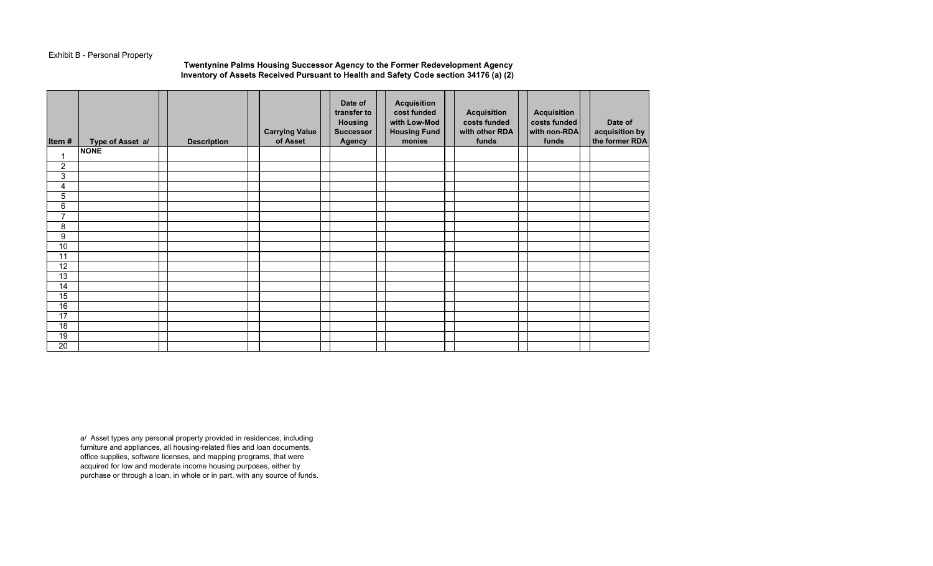# Exhibit B - Personal Property

### **Twentynine Palms Housing Successor Agency to the Former Redevelopment Agency Inventory of Assets Received Pursuant to Health and Safety Code section 34176 (a) (2)**

| Item#           | Type of Asset a/ | <b>Description</b> | <b>Carrying Value</b><br>of Asset | Date of<br>transfer to<br><b>Housing</b><br><b>Successor</b><br>Agency | <b>Acquisition</b><br>cost funded<br>with Low-Mod<br><b>Housing Fund</b><br>monies | <b>Acquisition</b><br>costs funded<br>with other RDA<br>funds | <b>Acquisition</b><br>costs funded<br>with non-RDA<br>funds | Date of<br>acquisition by<br>the former RDA |
|-----------------|------------------|--------------------|-----------------------------------|------------------------------------------------------------------------|------------------------------------------------------------------------------------|---------------------------------------------------------------|-------------------------------------------------------------|---------------------------------------------|
|                 | <b>NONE</b>      |                    |                                   |                                                                        |                                                                                    |                                                               |                                                             |                                             |
| $\overline{2}$  |                  |                    |                                   |                                                                        |                                                                                    |                                                               |                                                             |                                             |
| 3               |                  |                    |                                   |                                                                        |                                                                                    |                                                               |                                                             |                                             |
| 4               |                  |                    |                                   |                                                                        |                                                                                    |                                                               |                                                             |                                             |
| $\overline{5}$  |                  |                    |                                   |                                                                        |                                                                                    |                                                               |                                                             |                                             |
| $\overline{6}$  |                  |                    |                                   |                                                                        |                                                                                    |                                                               |                                                             |                                             |
| $\overline{7}$  |                  |                    |                                   |                                                                        |                                                                                    |                                                               |                                                             |                                             |
| 8               |                  |                    |                                   |                                                                        |                                                                                    |                                                               |                                                             |                                             |
| $\overline{9}$  |                  |                    |                                   |                                                                        |                                                                                    |                                                               |                                                             |                                             |
| $\overline{10}$ |                  |                    |                                   |                                                                        |                                                                                    |                                                               |                                                             |                                             |
| 11              |                  |                    |                                   |                                                                        |                                                                                    |                                                               |                                                             |                                             |
| 12              |                  |                    |                                   |                                                                        |                                                                                    |                                                               |                                                             |                                             |
| $\overline{13}$ |                  |                    |                                   |                                                                        |                                                                                    |                                                               |                                                             |                                             |
| 14              |                  |                    |                                   |                                                                        |                                                                                    |                                                               |                                                             |                                             |
| 15              |                  |                    |                                   |                                                                        |                                                                                    |                                                               |                                                             |                                             |
| 16              |                  |                    |                                   |                                                                        |                                                                                    |                                                               |                                                             |                                             |
| 17              |                  |                    |                                   |                                                                        |                                                                                    |                                                               |                                                             |                                             |
| 18              |                  |                    |                                   |                                                                        |                                                                                    |                                                               |                                                             |                                             |
| 19              |                  |                    |                                   |                                                                        |                                                                                    |                                                               |                                                             |                                             |
| 20              |                  |                    |                                   |                                                                        |                                                                                    |                                                               |                                                             |                                             |

a/ Asset types any personal property provided in residences, including furniture and appliances, all housing-related files and loan documents, office supplies, software licenses, and mapping programs, that were acquired for low and moderate income housing purposes, either by purchase or through a loan, in whole or in part, with any source of funds.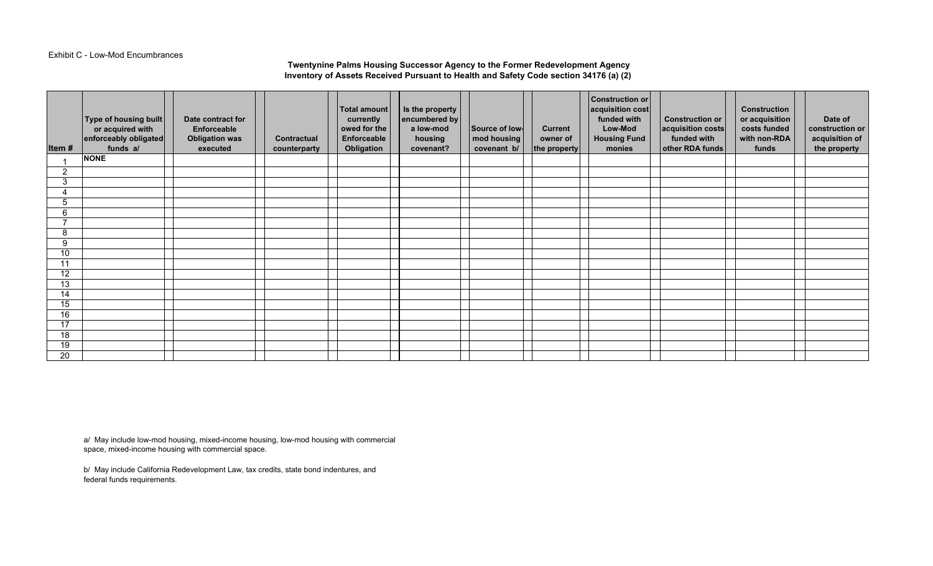#### Exhibit C - Low-Mod Encumbrances

## **Twentynine Palms Housing Successor Agency to the Former Redevelopment Agency Inventory of Assets Received Pursuant to Health and Safety Code section 34176 (a) (2)**

| Item # | Type of housing built<br>or acquired with<br>enforceably obligated<br>funds a/ | Date contract for<br>Enforceable<br><b>Obligation was</b><br>executed | <b>Contractual</b><br>counterparty | Total amount<br>currently<br>owed for the<br>Enforceable<br>Obligation | Is the property<br>encumbered by<br>a low-mod<br>housing<br>covenant? | Source of low-<br>mod housing<br>covenant b/ | <b>Current</b><br>owner of<br>the property | <b>Construction or</b><br>acquisition cost<br>funded with<br>Low-Mod<br><b>Housing Fund</b><br>monies | <b>Construction or</b><br>acquisition costs<br>funded with<br>other RDA funds | <b>Construction</b><br>or acquisition<br>costs funded<br>with non-RDA<br>funds | Date of<br>construction or<br>acquisition of<br>the property |
|--------|--------------------------------------------------------------------------------|-----------------------------------------------------------------------|------------------------------------|------------------------------------------------------------------------|-----------------------------------------------------------------------|----------------------------------------------|--------------------------------------------|-------------------------------------------------------------------------------------------------------|-------------------------------------------------------------------------------|--------------------------------------------------------------------------------|--------------------------------------------------------------|
|        | <b>NONE</b>                                                                    |                                                                       |                                    |                                                                        |                                                                       |                                              |                                            |                                                                                                       |                                                                               |                                                                                |                                                              |
| 2      |                                                                                |                                                                       |                                    |                                                                        |                                                                       |                                              |                                            |                                                                                                       |                                                                               |                                                                                |                                                              |
| 3      |                                                                                |                                                                       |                                    |                                                                        |                                                                       |                                              |                                            |                                                                                                       |                                                                               |                                                                                |                                                              |
| 4      |                                                                                |                                                                       |                                    |                                                                        |                                                                       |                                              |                                            |                                                                                                       |                                                                               |                                                                                |                                                              |
| 5      |                                                                                |                                                                       |                                    |                                                                        |                                                                       |                                              |                                            |                                                                                                       |                                                                               |                                                                                |                                                              |
| 6      |                                                                                |                                                                       |                                    |                                                                        |                                                                       |                                              |                                            |                                                                                                       |                                                                               |                                                                                |                                                              |
| –      |                                                                                |                                                                       |                                    |                                                                        |                                                                       |                                              |                                            |                                                                                                       |                                                                               |                                                                                |                                                              |
| 8      |                                                                                |                                                                       |                                    |                                                                        |                                                                       |                                              |                                            |                                                                                                       |                                                                               |                                                                                |                                                              |
| 9      |                                                                                |                                                                       |                                    |                                                                        |                                                                       |                                              |                                            |                                                                                                       |                                                                               |                                                                                |                                                              |
| 10     |                                                                                |                                                                       |                                    |                                                                        |                                                                       |                                              |                                            |                                                                                                       |                                                                               |                                                                                |                                                              |
| 11     |                                                                                |                                                                       |                                    |                                                                        |                                                                       |                                              |                                            |                                                                                                       |                                                                               |                                                                                |                                                              |
| 12     |                                                                                |                                                                       |                                    |                                                                        |                                                                       |                                              |                                            |                                                                                                       |                                                                               |                                                                                |                                                              |
| 13     |                                                                                |                                                                       |                                    |                                                                        |                                                                       |                                              |                                            |                                                                                                       |                                                                               |                                                                                |                                                              |
| 14     |                                                                                |                                                                       |                                    |                                                                        |                                                                       |                                              |                                            |                                                                                                       |                                                                               |                                                                                |                                                              |
| 15     |                                                                                |                                                                       |                                    |                                                                        |                                                                       |                                              |                                            |                                                                                                       |                                                                               |                                                                                |                                                              |
| 16     |                                                                                |                                                                       |                                    |                                                                        |                                                                       |                                              |                                            |                                                                                                       |                                                                               |                                                                                |                                                              |
| 17     |                                                                                |                                                                       |                                    |                                                                        |                                                                       |                                              |                                            |                                                                                                       |                                                                               |                                                                                |                                                              |
| 18     |                                                                                |                                                                       |                                    |                                                                        |                                                                       |                                              |                                            |                                                                                                       |                                                                               |                                                                                |                                                              |
| 19     |                                                                                |                                                                       |                                    |                                                                        |                                                                       |                                              |                                            |                                                                                                       |                                                                               |                                                                                |                                                              |
| 20     |                                                                                |                                                                       |                                    |                                                                        |                                                                       |                                              |                                            |                                                                                                       |                                                                               |                                                                                |                                                              |

a/ May include low-mod housing, mixed-income housing, low-mod housing with commercial space, mixed-income housing with commercial space.

b/ May include California Redevelopment Law, tax credits, state bond indentures, and federal funds requirements.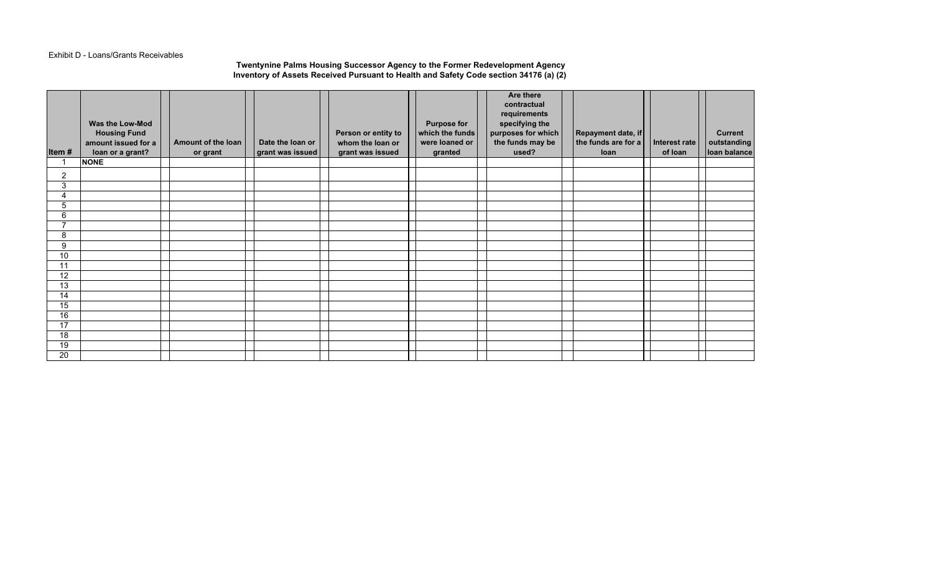#### Exhibit D - Loans/Grants Receivables

### **Twentynine Palms Housing Successor Agency to the Former Redevelopment Agency Inventory of Assets Received Pursuant to Health and Safety Code section 34176 (a) (2)**

| Item#           | <b>Housing Fund</b><br>amount issued for a<br>loan or a grant? | Amount of the loan<br>or grant | Date the loan or<br>grant was issued | Person or entity to<br>whom the loan or<br>grant was issued | <b>Purpose for</b><br>which the funds<br>were loaned or<br>granted | requirements<br>specifying the<br>purposes for which<br>the funds may be<br>used? | Repayment date, if<br>the funds are for a<br>loan | Interest rate<br>of loan | <b>Current</b><br>outstanding<br>loan balance |
|-----------------|----------------------------------------------------------------|--------------------------------|--------------------------------------|-------------------------------------------------------------|--------------------------------------------------------------------|-----------------------------------------------------------------------------------|---------------------------------------------------|--------------------------|-----------------------------------------------|
|                 | <b>NONE</b>                                                    |                                |                                      |                                                             |                                                                    |                                                                                   |                                                   |                          |                                               |
| $\overline{2}$  |                                                                |                                |                                      |                                                             |                                                                    |                                                                                   |                                                   |                          |                                               |
| 3               |                                                                |                                |                                      |                                                             |                                                                    |                                                                                   |                                                   |                          |                                               |
| 4               |                                                                |                                |                                      |                                                             |                                                                    |                                                                                   |                                                   |                          |                                               |
| 5               |                                                                |                                |                                      |                                                             |                                                                    |                                                                                   |                                                   |                          |                                               |
| 6               |                                                                |                                |                                      |                                                             |                                                                    |                                                                                   |                                                   |                          |                                               |
| $\overline{ }$  |                                                                |                                |                                      |                                                             |                                                                    |                                                                                   |                                                   |                          |                                               |
| 8               |                                                                |                                |                                      |                                                             |                                                                    |                                                                                   |                                                   |                          |                                               |
| 9               |                                                                |                                |                                      |                                                             |                                                                    |                                                                                   |                                                   |                          |                                               |
| 10              |                                                                |                                |                                      |                                                             |                                                                    |                                                                                   |                                                   |                          |                                               |
| 11              |                                                                |                                |                                      |                                                             |                                                                    |                                                                                   |                                                   |                          |                                               |
| $\overline{12}$ |                                                                |                                |                                      |                                                             |                                                                    |                                                                                   |                                                   |                          |                                               |
| $\overline{13}$ |                                                                |                                |                                      |                                                             |                                                                    |                                                                                   |                                                   |                          |                                               |
| 14              |                                                                |                                |                                      |                                                             |                                                                    |                                                                                   |                                                   |                          |                                               |
| 15              |                                                                |                                |                                      |                                                             |                                                                    |                                                                                   |                                                   |                          |                                               |
| 16              |                                                                |                                |                                      |                                                             |                                                                    |                                                                                   |                                                   |                          |                                               |
| 17              |                                                                |                                |                                      |                                                             |                                                                    |                                                                                   |                                                   |                          |                                               |
| $\overline{18}$ |                                                                |                                |                                      |                                                             |                                                                    |                                                                                   |                                                   |                          |                                               |
| 19              |                                                                |                                |                                      |                                                             |                                                                    |                                                                                   |                                                   |                          |                                               |
| $\overline{20}$ |                                                                |                                |                                      |                                                             |                                                                    |                                                                                   |                                                   |                          |                                               |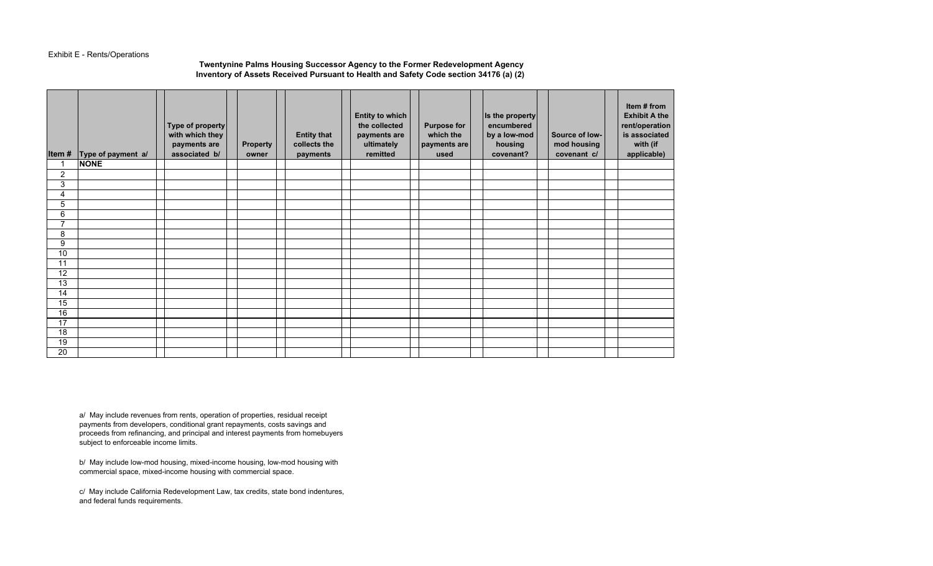## Exhibit E - Rents/Operations

# **Twentynine Palms Housing Successor Agency to the Former Redevelopment Agency Inventory of Assets Received Pursuant to Health and Safety Code section 34176 (a) (2)**

| Item#          | Type of payment a/ | Type of property<br>with which they<br>payments are<br>associated b/ | <b>Property</b><br>owner | <b>Entity that</b><br>collects the<br>payments | Entity to which<br>the collected<br>payments are<br>ultimately<br>remitted | <b>Purpose for</b><br>which the<br>payments are<br>used | Is the property<br>encumbered<br>by a low-mod<br>housing<br>covenant? | Source of low-<br>mod housing<br>covenant c/ | Item # from<br><b>Exhibit A the</b><br>rent/operation<br>is associated<br>with (if<br>applicable) |
|----------------|--------------------|----------------------------------------------------------------------|--------------------------|------------------------------------------------|----------------------------------------------------------------------------|---------------------------------------------------------|-----------------------------------------------------------------------|----------------------------------------------|---------------------------------------------------------------------------------------------------|
| 1              | <b>NONE</b>        |                                                                      |                          |                                                |                                                                            |                                                         |                                                                       |                                              |                                                                                                   |
| 2              |                    |                                                                      |                          |                                                |                                                                            |                                                         |                                                                       |                                              |                                                                                                   |
| 3              |                    |                                                                      |                          |                                                |                                                                            |                                                         |                                                                       |                                              |                                                                                                   |
| 4              |                    |                                                                      |                          |                                                |                                                                            |                                                         |                                                                       |                                              |                                                                                                   |
| 5              |                    |                                                                      |                          |                                                |                                                                            |                                                         |                                                                       |                                              |                                                                                                   |
| 6              |                    |                                                                      |                          |                                                |                                                                            |                                                         |                                                                       |                                              |                                                                                                   |
| $\overline{7}$ |                    |                                                                      |                          |                                                |                                                                            |                                                         |                                                                       |                                              |                                                                                                   |
| 8              |                    |                                                                      |                          |                                                |                                                                            |                                                         |                                                                       |                                              |                                                                                                   |
| 9              |                    |                                                                      |                          |                                                |                                                                            |                                                         |                                                                       |                                              |                                                                                                   |
| 10             |                    |                                                                      |                          |                                                |                                                                            |                                                         |                                                                       |                                              |                                                                                                   |
| 11             |                    |                                                                      |                          |                                                |                                                                            |                                                         |                                                                       |                                              |                                                                                                   |
| 12             |                    |                                                                      |                          |                                                |                                                                            |                                                         |                                                                       |                                              |                                                                                                   |
| 13             |                    |                                                                      |                          |                                                |                                                                            |                                                         |                                                                       |                                              |                                                                                                   |
| 14             |                    |                                                                      |                          |                                                |                                                                            |                                                         |                                                                       |                                              |                                                                                                   |
| 15             |                    |                                                                      |                          |                                                |                                                                            |                                                         |                                                                       |                                              |                                                                                                   |
| 16             |                    |                                                                      |                          |                                                |                                                                            |                                                         |                                                                       |                                              |                                                                                                   |
| 17             |                    |                                                                      |                          |                                                |                                                                            |                                                         |                                                                       |                                              |                                                                                                   |
| 18             |                    |                                                                      |                          |                                                |                                                                            |                                                         |                                                                       |                                              |                                                                                                   |
| 19             |                    |                                                                      |                          |                                                |                                                                            |                                                         |                                                                       |                                              |                                                                                                   |
| 20             |                    |                                                                      |                          |                                                |                                                                            |                                                         |                                                                       |                                              |                                                                                                   |

a/ May include revenues from rents, operation of properties, residual receipt payments from developers, conditional grant repayments, costs savings and proceeds from refinancing, and principal and interest payments from homebuyers subject to enforceable income limits.

b/ May include low-mod housing, mixed-income housing, low-mod housing with commercial space, mixed-income housing with commercial space.

c/ May include California Redevelopment Law, tax credits, state bond indentures, and federal funds requirements.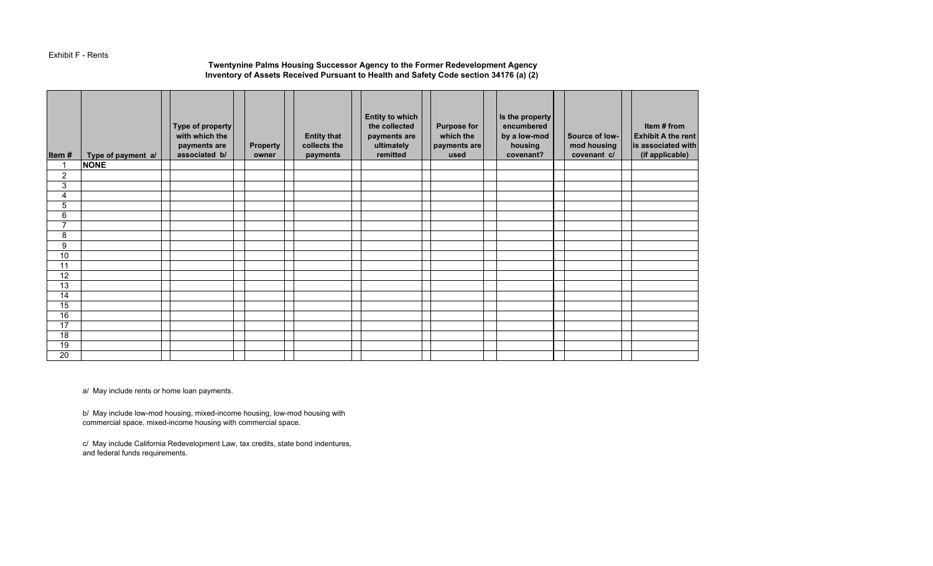#### Exhibit F - Rents

# **Twentynine Palms Housing Successor Agency to the Former Redevelopment Agency Inventory of Assets Received Pursuant to Health and Safety Code section 34176 (a) (2)**

| Item#           | Type of payment a/ | Type of property<br>with which the<br>payments are<br>associated b/ | <b>Property</b><br>owner | <b>Entity that</b><br>collects the<br>payments | Entity to which<br>the collected<br>payments are<br>ultimately<br>remitted | <b>Purpose for</b><br>which the<br>payments are<br>used | Is the property<br>encumbered<br>by a low-mod<br>housing<br>covenant? | Source of low-<br>mod housing<br>covenant c/ | Item # from<br><b>Exhibit A the rent</b><br>is associated with<br>(if applicable) |
|-----------------|--------------------|---------------------------------------------------------------------|--------------------------|------------------------------------------------|----------------------------------------------------------------------------|---------------------------------------------------------|-----------------------------------------------------------------------|----------------------------------------------|-----------------------------------------------------------------------------------|
| $\mathbf 1$     | <b>NONE</b>        |                                                                     |                          |                                                |                                                                            |                                                         |                                                                       |                                              |                                                                                   |
| $\overline{c}$  |                    |                                                                     |                          |                                                |                                                                            |                                                         |                                                                       |                                              |                                                                                   |
| $\overline{3}$  |                    |                                                                     |                          |                                                |                                                                            |                                                         |                                                                       |                                              |                                                                                   |
| 4               |                    |                                                                     |                          |                                                |                                                                            |                                                         |                                                                       |                                              |                                                                                   |
| $\overline{5}$  |                    |                                                                     |                          |                                                |                                                                            |                                                         |                                                                       |                                              |                                                                                   |
| 6               |                    |                                                                     |                          |                                                |                                                                            |                                                         |                                                                       |                                              |                                                                                   |
| $\overline{7}$  |                    |                                                                     |                          |                                                |                                                                            |                                                         |                                                                       |                                              |                                                                                   |
| 8               |                    |                                                                     |                          |                                                |                                                                            |                                                         |                                                                       |                                              |                                                                                   |
| 9               |                    |                                                                     |                          |                                                |                                                                            |                                                         |                                                                       |                                              |                                                                                   |
| 10              |                    |                                                                     |                          |                                                |                                                                            |                                                         |                                                                       |                                              |                                                                                   |
| 11              |                    |                                                                     |                          |                                                |                                                                            |                                                         |                                                                       |                                              |                                                                                   |
| $\overline{12}$ |                    |                                                                     |                          |                                                |                                                                            |                                                         |                                                                       |                                              |                                                                                   |
| 13              |                    |                                                                     |                          |                                                |                                                                            |                                                         |                                                                       |                                              |                                                                                   |
| 14              |                    |                                                                     |                          |                                                |                                                                            |                                                         |                                                                       |                                              |                                                                                   |
| 15              |                    |                                                                     |                          |                                                |                                                                            |                                                         |                                                                       |                                              |                                                                                   |
| 16              |                    |                                                                     |                          |                                                |                                                                            |                                                         |                                                                       |                                              |                                                                                   |
| $\overline{17}$ |                    |                                                                     |                          |                                                |                                                                            |                                                         |                                                                       |                                              |                                                                                   |
| $\overline{18}$ |                    |                                                                     |                          |                                                |                                                                            |                                                         |                                                                       |                                              |                                                                                   |
| 19              |                    |                                                                     |                          |                                                |                                                                            |                                                         |                                                                       |                                              |                                                                                   |
| $\overline{20}$ |                    |                                                                     |                          |                                                |                                                                            |                                                         |                                                                       |                                              |                                                                                   |

a/ May include rents or home loan payments.

b/ May include low-mod housing, mixed-income housing, low-mod housing with commercial space, mixed-income housing with commercial space.

c/ May include California Redevelopment Law, tax credits, state bond indentures, and federal funds requirements.